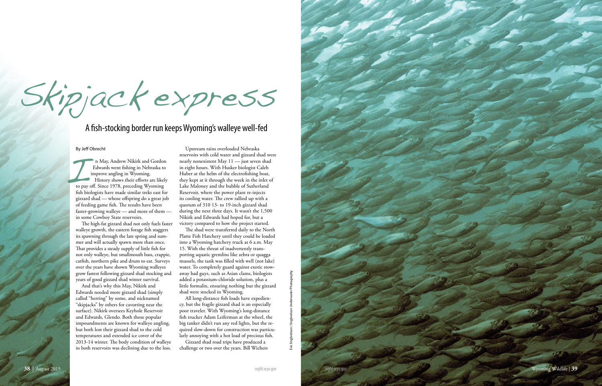By Jeff Obrecht

n May, Andrew Nikirk and Gordon Edwards went fishing in Nebraska to improve angling in Wyoming. History shows their efforts are likely to pay off. Since 1978, preceding Wyoming fish biologists have made similar treks east for gizzard shad — whose offspring do a great job of feeding game fish. The results have been faster-growing walleye — and more of them in some Cowboy State reservoirs. I to pay

The high-fat gizzard shad not only fuels faster walleye growth, the eastern forage fish staggers its spawning through the late spring and sum mer and will actually spawn more than once. That provides a steady supply of little fish for not only walleye, but smallmouth bass, crappie, catfish, northern pike and drum to eat. Surveys over the years have shown Wyoming walleyes grow fastest following gizzard shad stocking and years of good gizzard shad winter survival.

And that's why this May, Nikirk and Edwards needed more gizzard shad (simply called "herring" by some, and nicknamed "skipjacks" by others for cavorting near the surface). Nikirk oversees Keyhole Reservoir and Edwards, Glendo. Both those popular impoundments are known for walleye angling, but both lost their gizzard shad to the cold temperatures and extended ice cover of the 2013-14 winter. The body condition of walleye in both reservoirs was declining due to the loss.

Upstream rains overloaded Nebraska reservoirs with cold water and gizzard shad were nearly nonexistent May 11 — just seven shad in eight hours. With Husker biologist Caleb Huber at the helm of the electrofishing boat, they kept at it through the week in the inlet of Lake Maloney and the bubble of Sutherland Reservoir, where the power plant re-injects its cooling water. The crew rallied up with a quorum of 310 13- to 19-inch gizzard shad during the next three days. It wasn't the 1,500 Nikirk and Edwards had hoped for, but a victory compared to how the project started.

The shad were transferred daily to the North Platte Fish Hatchery until they could be loaded into a Wyoming hatchery truck at 6 a.m. May 15. With the threat of inadvertently trans porting aquatic gremlins like zebra or quagga mussels, the tank was filled with well (not lake) water. To completely guard against exotic stow away bad guys, such as Asian clams, biologists added a potassium-chloride solution, plus a little formalin, ensuring nothing but the gizzard shad were stocked in Wyoming.

All long-distance fish loads have expedien cy, but the fragile gizzard shad is an especially poor traveler. With Wyoming's long-distance fish trucker Adam Leiferman at the wheel, the big tanker didn't run any red lights, but the re quired slow-down for construction was particu larly annoying with a hot load of precious fish.

Gizzard shad road trips have produced a challenge or two over the years. Bill Wichers

Skipjack express

## A fish-stocking border run keeps Wyoming's walleye well-fed

Eric Engbretson / Engbretson Underwater Photography

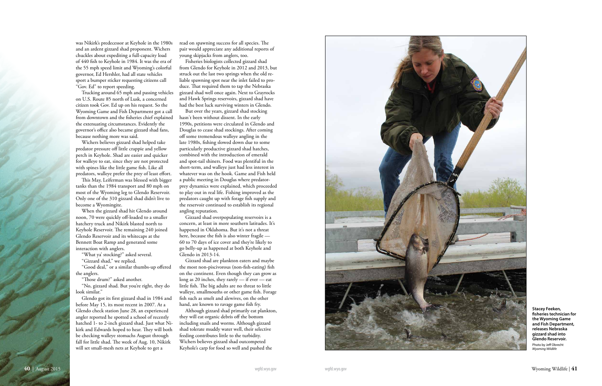was Nikirk's predecessor at Keyhole in the 1980s and an ardent gizzard shad proponent. Wichers chuckles about expediting a full-capacity load of 440 fish to Keyhole in 1984. It was the era of the 55 mph speed limit and Wyoming's colorful governor, Ed Hershler, had all state vehicles sport a bumper sticker requesting citizens call "Gov. Ed" to report speeding.

Trucking around 65 mph and passing vehicles on U.S. Route 85 north of Lusk, a concerned citizen took Gov. Ed up on his request. So the Wyoming Game and Fish Department got a call from downtown and the fisheries chief explained the extenuating circumstances. Evidently the governor's office also became gizzard shad fans, because nothing more was said.

Wichers believes gizzard shad helped take predator pressure off little crappie and yellow perch in Keyhole. Shad are easier and quicker for walleye to eat, since they are not protected with spines like the little game fish. Like all predators, walleye prefer the prey of least effort.

This May, Leiferman was blessed with bigger tanks than the 1984 transport and 80 mph on most of the Wyoming leg to Glendo Reservoir. Only one of the 310 gizzard shad didn't live to become a Wyomingite.

When the gizzard shad hit Glendo around noon, 70 were quickly off-loaded to a smaller hatchery truck and Nikirk blasted north to Keyhole Reservoir. The remaining 240 joined Glendo Reservoir and its whitecaps at the Bennett Boat Ramp and generated some interaction with anglers.

"What ya' stocking?" asked several.

"Gizzard shad," we replied.

"Good deal," or a similar thumbs-up offered the anglers.

"Those drum?" asked another.

"No, gizzard shad. But you're right, they do look similar."

Glendo got its first gizzard shad in 1984 and before May 15, its most recent in 2007. At a Glendo check station June 28, an experienced angler reported he spotted a school of recently hatched 1- to 2-inch gizzard shad. Just what Ni kirk and Edwards hoped to hear. They will both be checking walleye stomachs August through fall for little shad. The week of Aug. 10, Nikirk will set small-mesh nets at Keyhole to get a

read on spawning success for all species. The pair would appreciate any additional reports of young skipjacks from anglers, too.

Fisheries biologists collected gizzard shad from Glendo for Keyhole in 2012 and 2013, but struck out the last two springs when the old re liable spawning spot near the inlet failed to pro duce. That required them to tap the Nebraska gizzard shad well once again. Next to Grayrocks and Hawk Springs reservoirs, gizzard shad have had the best luck surviving winters in Glendo.

But over the years, gizzard shad stocking hasn't been without dissent. In the early 1990s, petitions were circulated in Glendo and Douglas to cease shad stockings. After coming off some tremendous walleye angling in the late 1980s, fishing slowed down due to some particularly productive gizzard shad hatches, combined with the introduction of emerald and spot-tail shiners. Food was plentiful in the short-term, and walleye just had less interest in whatever was on the hook. Game and Fish held a public meeting in Douglas where predatorprey dynamics were explained, which proceeded to play out in real life. Fishing improved as the predators caught up with forage fish supply and the reservoir continued to establish its regional angling reputation.

Gizzard shad overpopulating reservoirs is a concern, at least in more southern latitudes. It's happened in Oklahoma. But it's not a threat here, because the fish is also winter fragile — 60 to 70 days of ice cover and they're likely to go belly-up as happened at both Keyhole and Glendo in 2013-14.

Gizzard shad are plankton eaters and maybe the most non-piscivorous (non-fish-eating) fish on the continent. Even though they can grow as long as 20 inches, they rarely — if ever — eat little fish. The big adults are no threat to little walleye, smallmouths or other game fish. Forage fish such as smelt and alewives, on the other hand, are known to ravage game fish fry.

Although gizzard shad primarily eat plankton, they will eat organic debris off the bottom including snails and worms. Although gizzard shad tolerate muddy water well, their selective feeding contributes little to the turbidity. Wichers believes gizzard shad outcompeted Keyhole's carp for food so well and pushed the



**Stacey Feeken, fisheries technician for the Wyoming Game and Fish Department, releases Nebraska gizzard shad into Glendo Reservoir.**

Photo by Jeff Obrecht *Wyoming Wildlife*